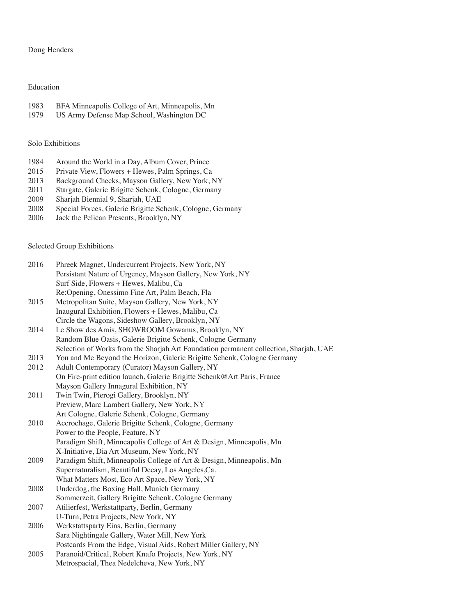### Doug Henders

## Education

- 1983 BFA Minneapolis College of Art, Minneapolis, Mn<br>1979 US Army Defense Map School, Washington DC
- US Army Defense Map School, Washington DC

# Solo Exhibitions

- 1984 Around the World in a Day, Album Cover, Prince<br>2015 Private View, Flowers + Hewes, Palm Springs, Ca
- 2015 Private View, Flowers + Hewes, Palm Springs, Ca<br>2013 Background Checks, Mayson Gallery, New York, N
- 2013 Background Checks, Mayson Gallery, New York, NY<br>2011 Stargate, Galerie Brigitte Schenk, Cologne, Germany
- Stargate, Galerie Brigitte Schenk, Cologne, Germany
- 2009 Sharjah Biennial 9, Sharjah, UAE
- 2008 Special Forces, Galerie Brigitte Schenk, Cologne, Germany
- 2006 Jack the Pelican Presents, Brooklyn, NY

#### Selected Group Exhibitions

| 2016 | Phreek Magnet, Undercurrent Projects, New York, NY                                    |
|------|---------------------------------------------------------------------------------------|
|      | Persistant Nature of Urgency, Mayson Gallery, New York, NY                            |
|      | Surf Side, Flowers + Hewes, Malibu, Ca                                                |
|      | Re:Opening, Onessimo Fine Art, Palm Beach, Fla                                        |
| 2015 | Metropolitan Suite, Mayson Gallery, New York, NY                                      |
|      | Inaugural Exhibition, Flowers + Hewes, Malibu, Ca                                     |
|      | Circle the Wagons, Sideshow Gallery, Brooklyn, NY                                     |
| 2014 | Le Show des Amis, SHOWROOM Gowanus, Brooklyn, NY                                      |
|      | Random Blue Oasis, Galerie Brigitte Schenk, Cologne Germany                           |
|      | Selection of Works from the Sharjah Art Foundation permanent collection, Sharjah, UAE |
| 2013 | You and Me Beyond the Horizon, Galerie Brigitte Schenk, Cologne Germany               |
| 2012 | Adult Contemporary (Curator) Mayson Gallery, NY                                       |
|      | On Fire-print edition launch, Galerie Brigitte Schenk@Art Paris, France               |
|      | Mayson Gallery Innagural Exhibition, NY                                               |
| 2011 | Twin Twin, Pierogi Gallery, Brooklyn, NY                                              |
|      | Preview, Marc Lambert Gallery, New York, NY                                           |
|      | Art Cologne, Galerie Schenk, Cologne, Germany                                         |
| 2010 | Accrochage, Galerie Brigitte Schenk, Cologne, Germany                                 |
|      | Power to the People, Feature, NY                                                      |
|      | Paradigm Shift, Minneapolis College of Art & Design, Minneapolis, Mn                  |
|      | X-Initiative, Dia Art Museum, New York, NY                                            |
| 2009 | Paradigm Shift, Minneapolis College of Art & Design, Minneapolis, Mn                  |
|      | Supernaturalism, Beautiful Decay, Los Angeles, Ca.                                    |
|      | What Matters Most, Eco Art Space, New York, NY                                        |
| 2008 | Underdog, the Boxing Hall, Munich Germany                                             |
|      | Sommerzeit, Gallery Brigitte Schenk, Cologne Germany                                  |
| 2007 | Atilierfest, Werkstattparty, Berlin, Germany                                          |
|      | U-Turn, Petra Projects, New York, NY                                                  |
| 2006 | Werkstattsparty Eins, Berlin, Germany                                                 |
|      | Sara Nightingale Gallery, Water Mill, New York                                        |
|      | Postcards From the Edge, Visual Aids, Robert Miller Gallery, NY                       |
| 2005 | Paranoid/Critical, Robert Knafo Projects, New York, NY                                |
|      | Metrospacial, Thea Nedelcheva, New York, NY                                           |
|      |                                                                                       |